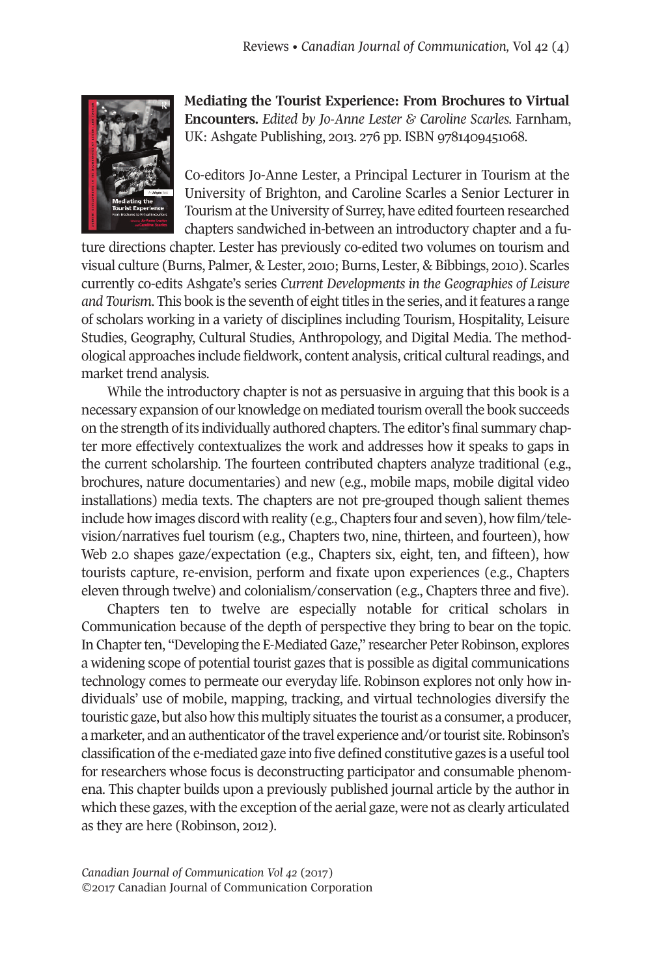

**Mediating the Tourist Experience: From Brochures to Virtual Encounters.** *Edited by Jo-Anne Lester & Caroline Scarles.* Farnham, UK: Ashgate Publishing, 2013. 276 pp. ISBN 9781409451068.

Co-editors Jo-Anne Lester, a Principal Lecturer in Tourism at the University of Brighton, and Caroline Scarles a Senior Lecturer in Tourism at the University of Surrey, have edited fourteen researched chapters sandwiched in-between an introductory chapter and a fu-

ture directions chapter. Lester has previously co-edited two volumes on tourism and visual culture (Burns, Palmer, & Lester, 2010; Burns, Lester, & Bibbings, 2010). Scarles currently co-edits Ashgate's series *Current Developments in the Geographies of Leisure and Tourism*. This book is the seventh of eight titles in the series, and it features a range of scholars working in a variety of disciplines including Tourism, Hospitality, Leisure Studies, Geography, Cultural Studies, Anthropology, and Digital Media. The methodological approaches include fieldwork, content analysis, critical cultural readings, and market trend analysis.

While the introductory chapter is not as persuasive in arguing that this book is a necessary expansion of our knowledge on mediated tourism overall the book succeeds on the strength of its individually authored chapters. The editor's final summary chapter more effectively contextualizes the work and addresses how it speaks to gaps in the current scholarship. The fourteen contributed chapters analyze traditional (e.g., brochures, nature documentaries) and new (e.g., mobile maps, mobile digital video installations) media texts. The chapters are not pre-grouped though salient themes include how images discord with reality (e.g., Chapters four and seven), how film/television/narratives fuel tourism (e.g., Chapters two, nine, thirteen, and fourteen), how Web 2.0 shapes gaze/expectation (e.g., Chapters six, eight, ten, and fifteen), how tourists capture, re-envision, perform and fixate upon experiences (e.g., Chapters eleven through twelve) and colonialism/conservation (e.g., Chapters three and five).

Chapters ten to twelve are especially notable for critical scholars in Communication because of the depth of perspective they bring to bear on the topic. In Chapter ten, "Developing the E-Mediated Gaze," researcher Peter Robinson, explores a widening scope of potential tourist gazes that is possible as digital communications technology comes to permeate our everyday life. Robinson explores not only how individuals' use of mobile, mapping, tracking, and virtual technologies diversify the touristic gaze, but also how this multiply situates the tourist as a consumer, a producer, a marketer, and an authenticator of the travel experience and/or tourist site. Robinson's classification ofthe e-mediated gaze into five defined constitutive gazes is a usefultool for researchers whose focus is deconstructing participator and consumable phenomena. This chapter builds upon a previously published journal article by the author in which these gazes, with the exception of the aerial gaze, were not as clearly articulated as they are here (Robinson, 2012).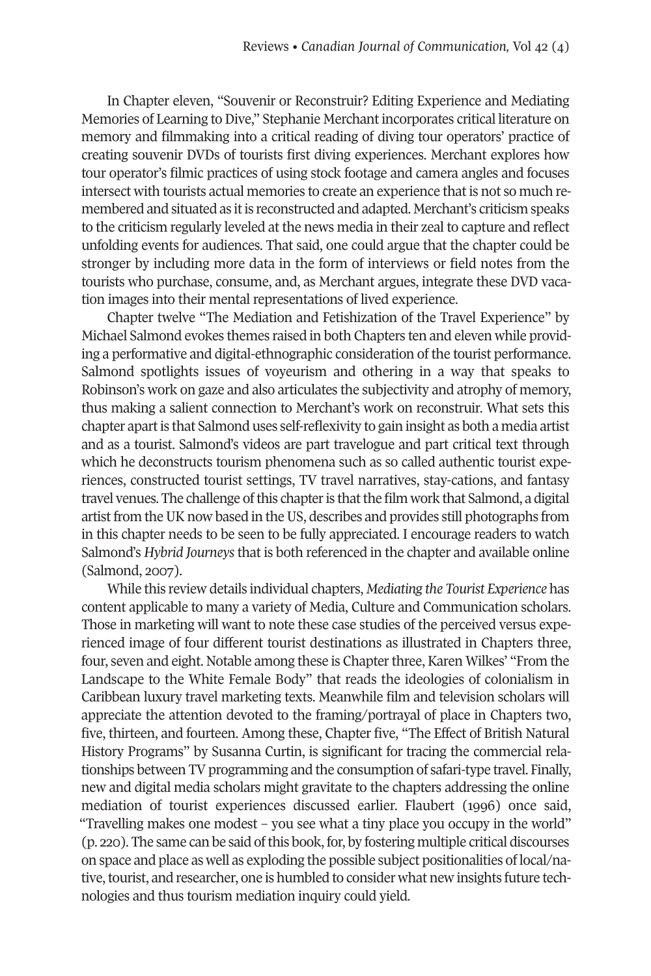In Chapter eleven, "Souvenir or Reconstruir? Editing Experience and Mediating Memories of Learning to Dive," Stephanie Merchant incorporates critical literature on memory and filmmaking into a critical reading of diving tour operators' practice of creating souvenir DVDs of tourists first diving experiences. Merchant explores how tour operator's filmic practices of using stock footage and camera angles and focuses intersect with tourists actual memories to create an experience that is not so much remembered and situated as itis reconstructed and adapted. Merchant's criticism speaks to the criticism regularly leveled at the news media in their zeal to capture and reflect unfolding events for audiences. That said, one could argue that the chapter could be stronger by including more data in the form of interviews or field notes from the tourists who purchase, consume, and, as Merchant argues, integrate these DVD vacation images into their mental representations of lived experience.

Chapter twelve "The Mediation and Fetishization of the Travel Experience" by Michael Salmond evokes themes raised in both Chapters ten and eleven while providing a performative and digital-ethnographic consideration of the tourist performance. Salmond spotlights issues of voyeurism and othering in a way that speaks to Robinson's work on gaze and also articulates the subjectivity and atrophy of memory, thus making a salient connection to Merchant's work on reconstruir. What sets this chapter apartis that Salmond uses self-reflexivity to gain insight as both a media artist and as a tourist. Salmond's videos are part travelogue and part critical text through which he deconstructs tourism phenomena such as so called authentic tourist experiences, constructed tourist settings, TV travel narratives, stay-cations, and fantasy travel venues. The challenge of this chapter is that the film work that Salmond, a digital artist from the UK now based in the US, describes and provides still photographs from in this chapter needs to be seen to be fully appreciated. I encourage readers to watch Salmond's *Hybrid Journeys*that is both referenced in the chapter and available online (Salmond, 2007).

While this review details individual chapters, *Mediating the Tourist Experience* has content applicable to many a variety of Media, Culture and Communication scholars. Those in marketing will want to note these case studies of the perceived versus experienced image of four different tourist destinations as illustrated in Chapters three, four, seven and eight. Notable among these is Chapter three, Karen Wilkes' "From the Landscape to the White Female Body" that reads the ideologies of colonialism in Caribbean luxury travel marketing texts. Meanwhile film and television scholars will appreciate the attention devoted to the framing/portrayal of place in Chapters two, five, thirteen, and fourteen. Among these, Chapter five, "The Effect of British Natural History Programs" by Susanna Curtin, is significant for tracing the commercial relationships between TV programming and the consumption of safari-type travel. Finally, new and digital media scholars might gravitate to the chapters addressing the online mediation of tourist experiences discussed earlier. Flaubert (1996) once said, "Travelling makes one modest – you see what a tiny place you occupy in the world" (p. 220). The same can be said ofthis book, for, by fostering multiple critical discourses on space and place as well as exploding the possible subject positionalities of local/native, tourist, and researcher, one is humbled to consider what new insights future technologies and thus tourism mediation inquiry could yield.